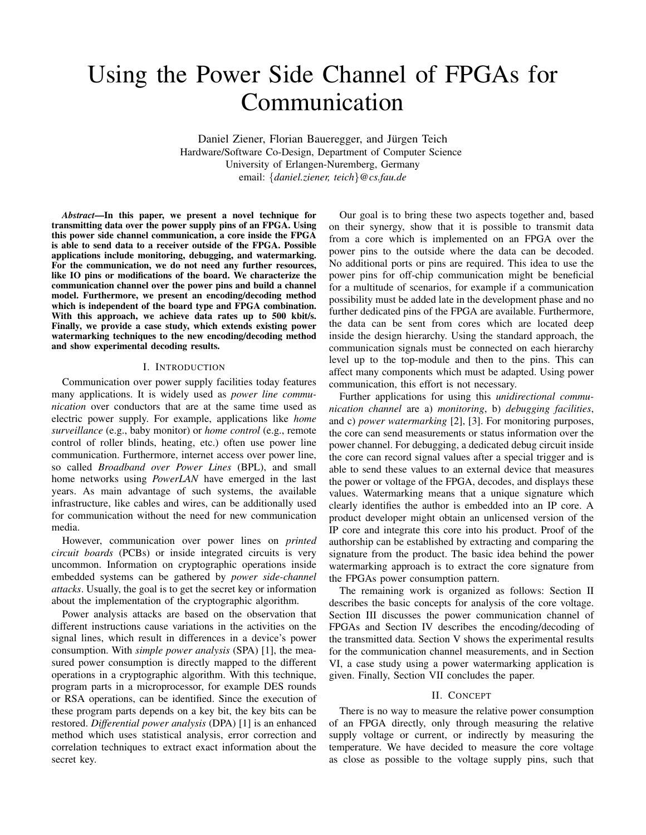# Using the Power Side Channel of FPGAs for Communication

Daniel Ziener, Florian Baueregger, and Jürgen Teich Hardware/Software Co-Design, Department of Computer Science University of Erlangen-Nuremberg, Germany email: {*daniel.ziener, teich*}*@cs.fau.de*

*Abstract*—In this paper, we present a novel technique for transmitting data over the power supply pins of an FPGA. Using this power side channel communication, a core inside the FPGA is able to send data to a receiver outside of the FPGA. Possible applications include monitoring, debugging, and watermarking. For the communication, we do not need any further resources, like IO pins or modifications of the board. We characterize the communication channel over the power pins and build a channel model. Furthermore, we present an encoding/decoding method which is independent of the board type and FPGA combination. With this approach, we achieve data rates up to 500 kbit/s. Finally, we provide a case study, which extends existing power watermarking techniques to the new encoding/decoding method and show experimental decoding results.

## I. INTRODUCTION

Communication over power supply facilities today features many applications. It is widely used as *power line communication* over conductors that are at the same time used as electric power supply. For example, applications like *home surveillance* (e.g., baby monitor) or *home control* (e.g., remote control of roller blinds, heating, etc.) often use power line communication. Furthermore, internet access over power line, so called *Broadband over Power Lines* (BPL), and small home networks using *PowerLAN* have emerged in the last years. As main advantage of such systems, the available infrastructure, like cables and wires, can be additionally used for communication without the need for new communication media.

However, communication over power lines on *printed circuit boards* (PCBs) or inside integrated circuits is very uncommon. Information on cryptographic operations inside embedded systems can be gathered by *power side-channel attacks*. Usually, the goal is to get the secret key or information about the implementation of the cryptographic algorithm.

Power analysis attacks are based on the observation that different instructions cause variations in the activities on the signal lines, which result in differences in a device's power consumption. With *simple power analysis* (SPA) [1], the measured power consumption is directly mapped to the different operations in a cryptographic algorithm. With this technique, program parts in a microprocessor, for example DES rounds or RSA operations, can be identified. Since the execution of these program parts depends on a key bit, the key bits can be restored. *Differential power analysis* (DPA) [1] is an enhanced method which uses statistical analysis, error correction and correlation techniques to extract exact information about the secret key.

Our goal is to bring these two aspects together and, based on their synergy, show that it is possible to transmit data from a core which is implemented on an FPGA over the power pins to the outside where the data can be decoded. No additional ports or pins are required. This idea to use the power pins for off-chip communication might be beneficial for a multitude of scenarios, for example if a communication possibility must be added late in the development phase and no further dedicated pins of the FPGA are available. Furthermore, the data can be sent from cores which are located deep inside the design hierarchy. Using the standard approach, the communication signals must be connected on each hierarchy level up to the top-module and then to the pins. This can affect many components which must be adapted. Using power communication, this effort is not necessary.

Further applications for using this *unidirectional communication channel* are a) *monitoring*, b) *debugging facilities*, and c) *power watermarking* [2], [3]. For monitoring purposes, the core can send measurements or status information over the power channel. For debugging, a dedicated debug circuit inside the core can record signal values after a special trigger and is able to send these values to an external device that measures the power or voltage of the FPGA, decodes, and displays these values. Watermarking means that a unique signature which clearly identifies the author is embedded into an IP core. A product developer might obtain an unlicensed version of the IP core and integrate this core into his product. Proof of the authorship can be established by extracting and comparing the signature from the product. The basic idea behind the power watermarking approach is to extract the core signature from the FPGAs power consumption pattern.

The remaining work is organized as follows: Section II describes the basic concepts for analysis of the core voltage. Section III discusses the power communication channel of FPGAs and Section IV describes the encoding/decoding of the transmitted data. Section V shows the experimental results for the communication channel measurements, and in Section VI, a case study using a power watermarking application is given. Finally, Section VII concludes the paper.

#### II. CONCEPT

There is no way to measure the relative power consumption of an FPGA directly, only through measuring the relative supply voltage or current, or indirectly by measuring the temperature. We have decided to measure the core voltage as close as possible to the voltage supply pins, such that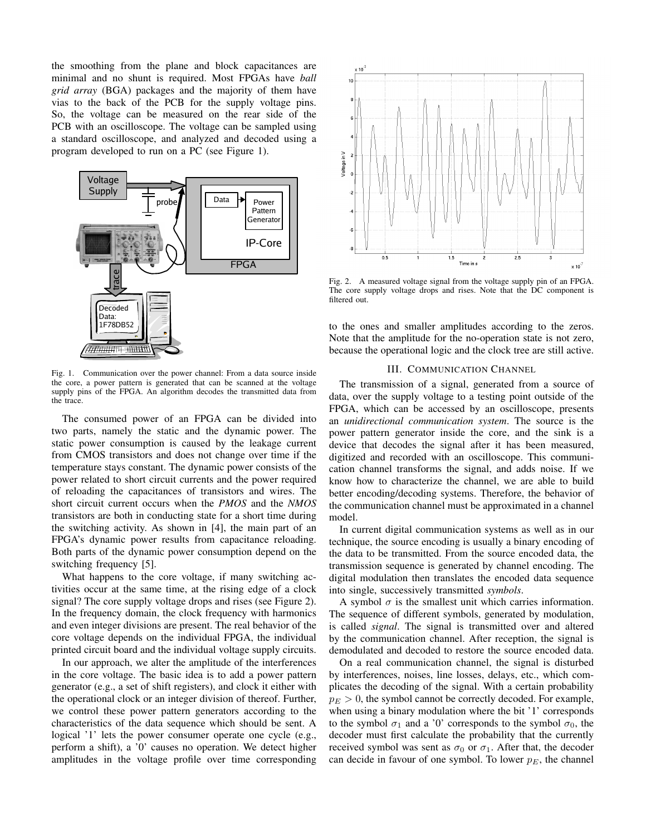the smoothing from the plane and block capacitances are minimal and no shunt is required. Most FPGAs have *ball grid array* (BGA) packages and the majority of them have vias to the back of the PCB for the supply voltage pins. So, the voltage can be measured on the rear side of the PCB with an oscilloscope. The voltage can be sampled using a standard oscilloscope, and analyzed and decoded using a program developed to run on a PC (see Figure 1).



Fig. 1. Communication over the power channel: From a data source inside the core, a power pattern is generated that can be scanned at the voltage supply pins of the FPGA. An algorithm decodes the transmitted data from the trace.

The consumed power of an FPGA can be divided into two parts, namely the static and the dynamic power. The static power consumption is caused by the leakage current from CMOS transistors and does not change over time if the temperature stays constant. The dynamic power consists of the power related to short circuit currents and the power required of reloading the capacitances of transistors and wires. The short circuit current occurs when the *PMOS* and the *NMOS* transistors are both in conducting state for a short time during the switching activity. As shown in [4], the main part of an FPGA's dynamic power results from capacitance reloading. Both parts of the dynamic power consumption depend on the switching frequency [5].

What happens to the core voltage, if many switching activities occur at the same time, at the rising edge of a clock signal? The core supply voltage drops and rises (see Figure 2). In the frequency domain, the clock frequency with harmonics and even integer divisions are present. The real behavior of the core voltage depends on the individual FPGA, the individual printed circuit board and the individual voltage supply circuits.

In our approach, we alter the amplitude of the interferences in the core voltage. The basic idea is to add a power pattern generator (e.g., a set of shift registers), and clock it either with the operational clock or an integer division of thereof. Further, we control these power pattern generators according to the characteristics of the data sequence which should be sent. A logical '1' lets the power consumer operate one cycle (e.g., perform a shift), a '0' causes no operation. We detect higher amplitudes in the voltage profile over time corresponding



Fig. 2. A measured voltage signal from the voltage supply pin of an FPGA. The core supply voltage drops and rises. Note that the DC component is filtered out.

to the ones and smaller amplitudes according to the zeros. Note that the amplitude for the no-operation state is not zero, because the operational logic and the clock tree are still active.

## III. COMMUNICATION CHANNEL

The transmission of a signal, generated from a source of data, over the supply voltage to a testing point outside of the FPGA, which can be accessed by an oscilloscope, presents an *unidirectional communication system*. The source is the power pattern generator inside the core, and the sink is a device that decodes the signal after it has been measured, digitized and recorded with an oscilloscope. This communication channel transforms the signal, and adds noise. If we know how to characterize the channel, we are able to build better encoding/decoding systems. Therefore, the behavior of the communication channel must be approximated in a channel model.

In current digital communication systems as well as in our technique, the source encoding is usually a binary encoding of the data to be transmitted. From the source encoded data, the transmission sequence is generated by channel encoding. The digital modulation then translates the encoded data sequence into single, successively transmitted *symbols*.

A symbol  $\sigma$  is the smallest unit which carries information. The sequence of different symbols, generated by modulation, is called *signal*. The signal is transmitted over and altered by the communication channel. After reception, the signal is demodulated and decoded to restore the source encoded data.

On a real communication channel, the signal is disturbed by interferences, noises, line losses, delays, etc., which complicates the decoding of the signal. With a certain probability  $p_E > 0$ , the symbol cannot be correctly decoded. For example, when using a binary modulation where the bit '1' corresponds to the symbol  $\sigma_1$  and a '0' corresponds to the symbol  $\sigma_0$ , the decoder must first calculate the probability that the currently received symbol was sent as  $\sigma_0$  or  $\sigma_1$ . After that, the decoder can decide in favour of one symbol. To lower  $p_E$ , the channel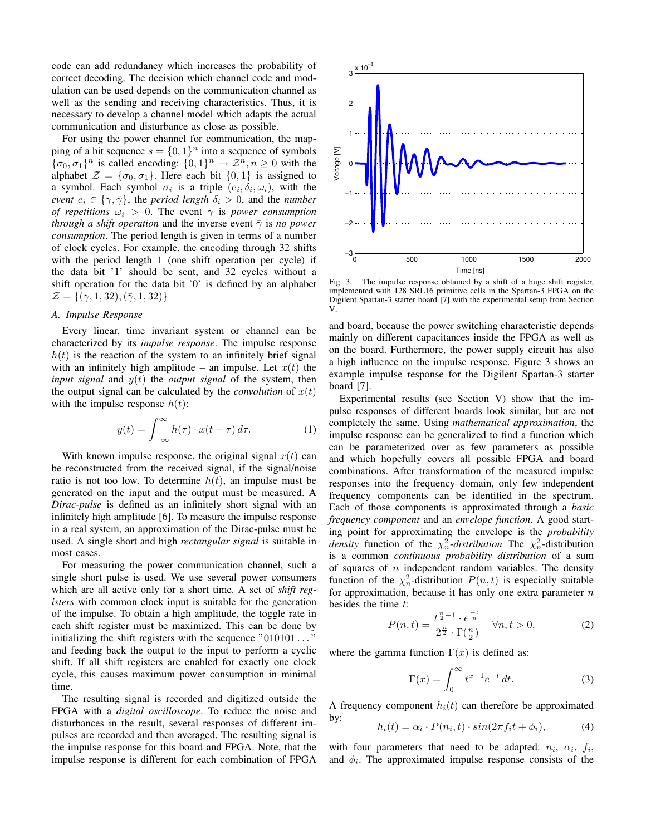code can add redundancy which increases the probability of correct decoding. The decision which channel code and modulation can be used depends on the communication channel as well as the sending and receiving characteristics. Thus, it is necessary to develop a channel model which adapts the actual communication and disturbance as close as possible.

For using the power channel for communication, the mapping of a bit sequence  $s = \{0, 1\}^n$  into a sequence of symbols  ${\{\sigma_0, \sigma_1\}}^n$  is called encoding:  ${0, 1\}}^n \rightarrow \mathcal{Z}^n, n \geq 0$  with the alphabet  $\mathcal{Z} = \{\sigma_0, \sigma_1\}$ . Here each bit  $\{0, 1\}$  is assigned to a symbol. Each symbol  $\sigma_i$  is a triple  $(e_i, \delta_i, \omega_i)$ , with the *event*  $e_i \in \{\gamma, \overline{\gamma}\}\$ , the *period length*  $\delta_i > 0$ , and the *number of repetitions*  $\omega_i > 0$ . The event  $\gamma$  is *power consumption through a shift operation* and the inverse event  $\bar{\gamma}$  is *no power consumption*. The period length is given in terms of a number of clock cycles. For example, the encoding through 32 shifts with the period length 1 (one shift operation per cycle) if the data bit '1' should be sent, and 32 cycles without a shift operation for the data bit '0' is defined by an alphabet  $\mathcal{Z} = \{(\gamma, 1, 32), (\bar{\gamma}, 1, 32)\}\$ 

# *A. Impulse Response*

Every linear, time invariant system or channel can be characterized by its *impulse response*. The impulse response  $h(t)$  is the reaction of the system to an infinitely brief signal with an infinitely high amplitude – an impulse. Let  $x(t)$  the *input signal* and  $y(t)$  the *output signal* of the system, then the output signal can be calculated by the *convolution* of  $x(t)$ with the impulse response  $h(t)$ :

$$
y(t) = \int_{-\infty}^{\infty} h(\tau) \cdot x(t - \tau) d\tau.
$$
 (1)

With known impulse response, the original signal  $x(t)$  can be reconstructed from the received signal, if the signal/noise ratio is not too low. To determine  $h(t)$ , an impulse must be generated on the input and the output must be measured. A *Dirac-pulse* is defined as an infinitely short signal with an infinitely high amplitude [6]. To measure the impulse response in a real system, an approximation of the Dirac-pulse must be used. A single short and high *rectangular signal* is suitable in most cases.

For measuring the power communication channel, such a single short pulse is used. We use several power consumers which are all active only for a short time. A set of *shift registers* with common clock input is suitable for the generation of the impulse. To obtain a high amplitude, the toggle rate in each shift register must be maximized. This can be done by initializing the shift registers with the sequence "010101..." and feeding back the output to the input to perform a cyclic shift. If all shift registers are enabled for exactly one clock cycle, this causes maximum power consumption in minimal time.

The resulting signal is recorded and digitized outside the FPGA with a *digital oscilloscope*. To reduce the noise and disturbances in the result, several responses of different impulses are recorded and then averaged. The resulting signal is the impulse response for this board and FPGA. Note, that the impulse response is different for each combination of FPGA



Fig. 3. The impulse response obtained by a shift of a huge shift register, implemented with 128 SRL16 primitive cells in the Spartan-3 FPGA on the Digilent Spartan-3 starter board [7] with the experimental setup from Section V.

and board, because the power switching characteristic depends mainly on different capacitances inside the FPGA as well as on the board. Furthermore, the power supply circuit has also a high influence on the impulse response. Figure 3 shows an example impulse response for the Digilent Spartan-3 starter board [7].

Experimental results (see Section V) show that the impulse responses of different boards look similar, but are not completely the same. Using *mathematical approximation*, the impulse response can be generalized to find a function which can be parameterized over as few parameters as possible and which hopefully covers all possible FPGA and board combinations. After transformation of the measured impulse responses into the frequency domain, only few independent frequency components can be identified in the spectrum. Each of those components is approximated through a *basic frequency component* and an *envelope function*. A good starting point for approximating the envelope is the *probability density* function of the  $\chi_n^2$ -*distribution* The  $\chi_n^2$ -distribution is a common *continuous probability distribution* of a sum of squares of  $n$  independent random variables. The density function of the  $\chi^2_n$ -distribution  $P(n, t)$  is especially suitable for approximation, because it has only one extra parameter  $n$ besides the time t:

$$
P(n,t) = \frac{t^{\frac{n}{2}-1} \cdot e^{\frac{-t}{n}}}{2^{\frac{n}{2}} \cdot \Gamma(\frac{n}{2})} \quad \forall n, t > 0,
$$
 (2)

where the gamma function  $\Gamma(x)$  is defined as:

$$
\Gamma(x) = \int_0^\infty t^{x-1} e^{-t} dt.
$$
 (3)

A frequency component  $h_i(t)$  can therefore be approximated by:

$$
h_i(t) = \alpha_i \cdot P(n_i, t) \cdot \sin(2\pi f_i t + \phi_i), \tag{4}
$$

with four parameters that need to be adapted:  $n_i$ ,  $\alpha_i$ ,  $f_i$ , and  $\phi_i$ . The approximated impulse response consists of the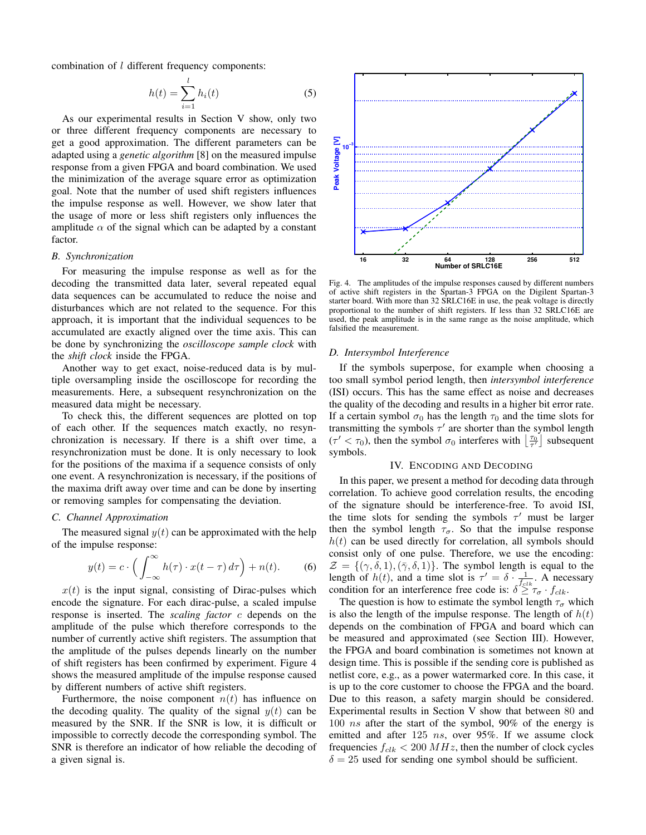combination of l different frequency components:

$$
h(t) = \sum_{i=1}^{l} h_i(t) \tag{5}
$$

As our experimental results in Section V show, only two or three different frequency components are necessary to get a good approximation. The different parameters can be adapted using a *genetic algorithm* [8] on the measured impulse response from a given FPGA and board combination. We used the minimization of the average square error as optimization goal. Note that the number of used shift registers influences the impulse response as well. However, we show later that the usage of more or less shift registers only influences the amplitude  $\alpha$  of the signal which can be adapted by a constant factor.

## *B. Synchronization*

For measuring the impulse response as well as for the decoding the transmitted data later, several repeated equal data sequences can be accumulated to reduce the noise and disturbances which are not related to the sequence. For this approach, it is important that the individual sequences to be accumulated are exactly aligned over the time axis. This can be done by synchronizing the *oscilloscope sample clock* with the *shift clock* inside the FPGA.

Another way to get exact, noise-reduced data is by multiple oversampling inside the oscilloscope for recording the measurements. Here, a subsequent resynchronization on the measured data might be necessary.

To check this, the different sequences are plotted on top of each other. If the sequences match exactly, no resynchronization is necessary. If there is a shift over time, a resynchronization must be done. It is only necessary to look for the positions of the maxima if a sequence consists of only one event. A resynchronization is necessary, if the positions of the maxima drift away over time and can be done by inserting or removing samples for compensating the deviation.

## *C. Channel Approximation*

The measured signal  $y(t)$  can be approximated with the help of the impulse response:

$$
y(t) = c \cdot \left( \int_{-\infty}^{\infty} h(\tau) \cdot x(t - \tau) d\tau \right) + n(t). \tag{6}
$$

 $x(t)$  is the input signal, consisting of Dirac-pulses which encode the signature. For each dirac-pulse, a scaled impulse response is inserted. The *scaling factor* c depends on the amplitude of the pulse which therefore corresponds to the number of currently active shift registers. The assumption that the amplitude of the pulses depends linearly on the number of shift registers has been confirmed by experiment. Figure 4 shows the measured amplitude of the impulse response caused by different numbers of active shift registers.

Furthermore, the noise component  $n(t)$  has influence on the decoding quality. The quality of the signal  $y(t)$  can be measured by the SNR. If the SNR is low, it is difficult or impossible to correctly decode the corresponding symbol. The SNR is therefore an indicator of how reliable the decoding of a given signal is.



Fig. 4. The amplitudes of the impulse responses caused by different numbers of active shift registers in the Spartan-3 FPGA on the Digilent Spartan-3 starter board. With more than 32 SRLC16E in use, the peak voltage is directly proportional to the number of shift registers. If less than 32 SRLC16E are used, the peak amplitude is in the same range as the noise amplitude, which falsified the measurement.

#### *D. Intersymbol Interference*

If the symbols superpose, for example when choosing a too small symbol period length, then *intersymbol interference* (ISI) occurs. This has the same effect as noise and decreases the quality of the decoding and results in a higher bit error rate. If a certain symbol  $\sigma_0$  has the length  $\tau_0$  and the time slots for transmitting the symbols  $\tau'$  are shorter than the symbol length  $(\tau' < \tau_0)$ , then the symbol  $\sigma_0$  interferes with  $\left\lfloor \frac{\tau_0}{\tau'} \right\rfloor$  subsequent symbols.

## IV. ENCODING AND DECODING

In this paper, we present a method for decoding data through correlation. To achieve good correlation results, the encoding of the signature should be interference-free. To avoid ISI, the time slots for sending the symbols  $\tau'$  must be larger then the symbol length  $\tau_{\sigma}$ . So that the impulse response  $h(t)$  can be used directly for correlation, all symbols should consist only of one pulse. Therefore, we use the encoding:  $\mathcal{Z} = \{(\gamma, \delta, 1), (\bar{\gamma}, \delta, 1)\}.$  The symbol length is equal to the length of  $h(t)$ , and a time slot is  $\tau' = \delta \cdot \frac{1}{f_{\text{clk}}}.$  A necessary condition for an interference free code is:  $\delta \geq \tau_{\sigma} \cdot f_{clk}$ .

The question is how to estimate the symbol length  $\tau_{\sigma}$  which is also the length of the impulse response. The length of  $h(t)$ depends on the combination of FPGA and board which can be measured and approximated (see Section III). However, the FPGA and board combination is sometimes not known at design time. This is possible if the sending core is published as netlist core, e.g., as a power watermarked core. In this case, it is up to the core customer to choose the FPGA and the board. Due to this reason, a safety margin should be considered. Experimental results in Section V show that between 80 and 100 ns after the start of the symbol, 90% of the energy is emitted and after 125 ns, over 95%. If we assume clock frequencies  $f_{clk}$  < 200  $MHz$ , then the number of clock cycles  $\delta = 25$  used for sending one symbol should be sufficient.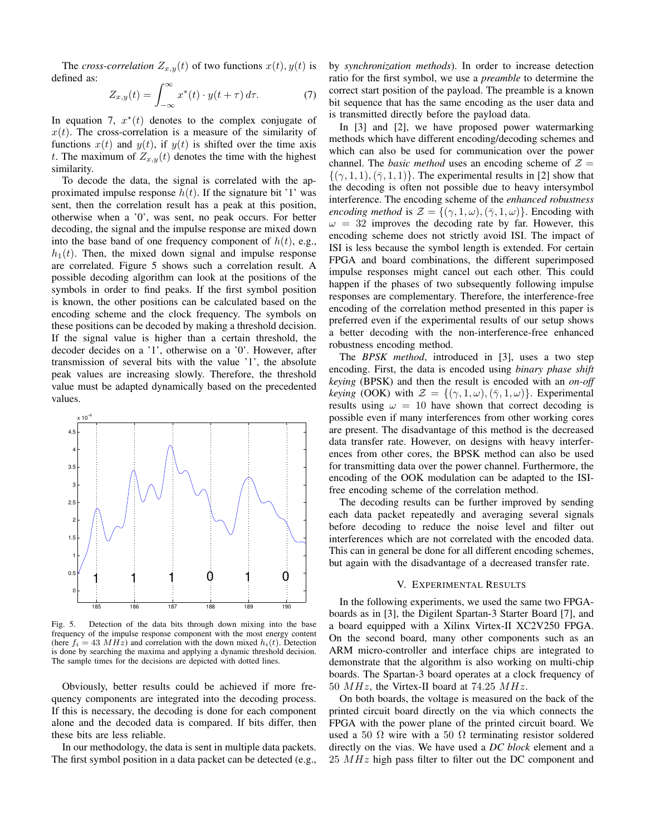The *cross-correlation*  $Z_{x,y}(t)$  of two functions  $x(t)$ ,  $y(t)$  is defined as:

$$
Z_{x,y}(t) = \int_{-\infty}^{\infty} x^*(t) \cdot y(t+\tau) d\tau.
$$
 (7)

In equation 7,  $x^*(t)$  denotes to the complex conjugate of  $x(t)$ . The cross-correlation is a measure of the similarity of functions  $x(t)$  and  $y(t)$ , if  $y(t)$  is shifted over the time axis t. The maximum of  $Z_{x,y}(t)$  denotes the time with the highest similarity.

To decode the data, the signal is correlated with the approximated impulse response  $h(t)$ . If the signature bit '1' was sent, then the correlation result has a peak at this position, otherwise when a '0', was sent, no peak occurs. For better decoding, the signal and the impulse response are mixed down into the base band of one frequency component of  $h(t)$ , e.g.,  $h_1(t)$ . Then, the mixed down signal and impulse response are correlated. Figure 5 shows such a correlation result. A possible decoding algorithm can look at the positions of the symbols in order to find peaks. If the first symbol position is known, the other positions can be calculated based on the encoding scheme and the clock frequency. The symbols on these positions can be decoded by making a threshold decision. If the signal value is higher than a certain threshold, the decoder decides on a '1', otherwise on a '0'. However, after transmission of several bits with the value '1', the absolute peak values are increasing slowly. Therefore, the threshold value must be adapted dynamically based on the precedented values.



Fig. 5. Detection of the data bits through down mixing into the base frequency of the impulse response component with the most energy content (here  $f_i = 43 \; MHz$ ) and correlation with the down mixed  $h_i(t)$ . Detection is done by searching the maxima and applying a dynamic threshold decision. The sample times for the decisions are depicted with dotted lines.

Obviously, better results could be achieved if more frequency components are integrated into the decoding process. If this is necessary, the decoding is done for each component alone and the decoded data is compared. If bits differ, then these bits are less reliable.

In our methodology, the data is sent in multiple data packets. The first symbol position in a data packet can be detected (e.g., by *synchronization methods*). In order to increase detection ratio for the first symbol, we use a *preamble* to determine the correct start position of the payload. The preamble is a known bit sequence that has the same encoding as the user data and is transmitted directly before the payload data.

In [3] and [2], we have proposed power watermarking methods which have different encoding/decoding schemes and which can also be used for communication over the power channel. The *basic method* uses an encoding scheme of  $Z =$  $\{(\gamma, 1, 1),(\bar{\gamma}, 1, 1)\}\$ . The experimental results in [2] show that the decoding is often not possible due to heavy intersymbol interference. The encoding scheme of the *enhanced robustness encoding method* is  $\mathcal{Z} = \{(\gamma, 1, \omega), (\bar{\gamma}, 1, \omega)\}\.$  Encoding with  $\omega = 32$  improves the decoding rate by far. However, this encoding scheme does not strictly avoid ISI. The impact of ISI is less because the symbol length is extended. For certain FPGA and board combinations, the different superimposed impulse responses might cancel out each other. This could happen if the phases of two subsequently following impulse responses are complementary. Therefore, the interference-free encoding of the correlation method presented in this paper is preferred even if the experimental results of our setup shows a better decoding with the non-interference-free enhanced robustness encoding method.

The *BPSK method*, introduced in [3], uses a two step encoding. First, the data is encoded using *binary phase shift keying* (BPSK) and then the result is encoded with an *on-off keying* (OOK) with  $\mathcal{Z} = \{(\gamma, 1, \omega), (\bar{\gamma}, 1, \omega)\}\.$  Experimental results using  $\omega = 10$  have shown that correct decoding is possible even if many interferences from other working cores are present. The disadvantage of this method is the decreased data transfer rate. However, on designs with heavy interferences from other cores, the BPSK method can also be used for transmitting data over the power channel. Furthermore, the encoding of the OOK modulation can be adapted to the ISIfree encoding scheme of the correlation method.

The decoding results can be further improved by sending each data packet repeatedly and averaging several signals before decoding to reduce the noise level and filter out interferences which are not correlated with the encoded data. This can in general be done for all different encoding schemes, but again with the disadvantage of a decreased transfer rate.

## V. EXPERIMENTAL RESULTS

In the following experiments, we used the same two FPGAboards as in [3], the Digilent Spartan-3 Starter Board [7], and a board equipped with a Xilinx Virtex-II XC2V250 FPGA. On the second board, many other components such as an ARM micro-controller and interface chips are integrated to demonstrate that the algorithm is also working on multi-chip boards. The Spartan-3 board operates at a clock frequency of 50  $MHz$ , the Virtex-II board at 74.25  $MHz$ .

On both boards, the voltage is measured on the back of the printed circuit board directly on the via which connects the FPGA with the power plane of the printed circuit board. We used a 50  $\Omega$  wire with a 50  $\Omega$  terminating resistor soldered directly on the vias. We have used a *DC block* element and a  $25 MHz$  high pass filter to filter out the DC component and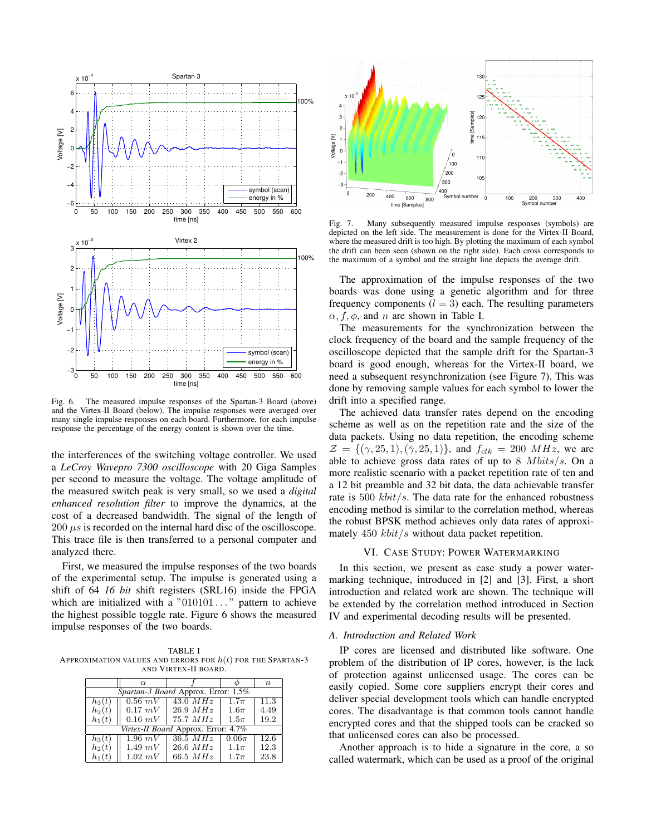

Fig. 6. The measured impulse responses of the Spartan-3 Board (above) and the Virtex-II Board (below). The impulse responses were averaged over many single impulse responses on each board. Furthermore, for each impulse response the percentage of the energy content is shown over the time.

the interferences of the switching voltage controller. We used a *LeCroy Wavepro 7300 oscilloscope* with 20 Giga Samples per second to measure the voltage. The voltage amplitude of the measured switch peak is very small, so we used a *digital enhanced resolution filter* to improve the dynamics, at the cost of a decreased bandwidth. The signal of the length of  $200 \mu s$  is recorded on the internal hard disc of the oscilloscope. This trace file is then transferred to a personal computer and analyzed there.

First, we measured the impulse responses of the two boards of the experimental setup. The impulse is generated using a shift of 64 *16 bit* shift registers (SRL16) inside the FPGA which are initialized with a  $"010101..."$  pattern to achieve the highest possible toggle rate. Figure 6 shows the measured impulse responses of the two boards.

TABLE I APPROXIMATION VALUES AND ERRORS FOR  $h(t)$  FOR THE SPARTAN-3 AND VIRTEX-II BOARD.

|                                     | $\alpha$    |                       |           | $\boldsymbol{n}$ |  |  |  |  |
|-------------------------------------|-------------|-----------------------|-----------|------------------|--|--|--|--|
| Spartan-3 Board Approx. Error: 1.5% |             |                       |           |                  |  |  |  |  |
| $h_3(t)$                            | $0.56 \ mV$ | $43.0$ MHz            | $1.7\pi$  | 11.3             |  |  |  |  |
| $h_2(t)$                            | $0.17 \ mV$ | $26.9$ $MHz$          | $1.6\pi$  | 4.49             |  |  |  |  |
| $h_1(t)$                            | $0.16\ mV$  | 75.7 MHz              | $1.5\pi$  | 19.2             |  |  |  |  |
| Virtex-II Board Approx. Error: 4.7% |             |                       |           |                  |  |  |  |  |
| $h_3(t)$                            | 1.96~mV     | $36.5 \overline{MHz}$ | $0.06\pi$ | 12.6             |  |  |  |  |
| $h_2(t)$                            | 1.49~mV     | 26.6 MHz              | $1.1\pi$  | 12.3             |  |  |  |  |
| $h_1(t)$                            | $1.02 \ mV$ | 66.5 MHz              | $1.7\pi$  | 23.8             |  |  |  |  |



Fig. 7. Many subsequently measured impulse responses (symbols) are depicted on the left side. The measurement is done for the Virtex-II Board, where the measured drift is too high. By plotting the maximum of each symbol the drift can been seen (shown on the right side). Each cross corresponds to the maximum of a symbol and the straight line depicts the average drift.

The approximation of the impulse responses of the two boards was done using a genetic algorithm and for three frequency components  $(l = 3)$  each. The resulting parameters  $\alpha$ ,  $f$ ,  $\phi$ , and n are shown in Table I.

The measurements for the synchronization between the clock frequency of the board and the sample frequency of the oscilloscope depicted that the sample drift for the Spartan-3 board is good enough, whereas for the Virtex-II board, we need a subsequent resynchronization (see Figure 7). This was done by removing sample values for each symbol to lower the drift into a specified range.

The achieved data transfer rates depend on the encoding scheme as well as on the repetition rate and the size of the data packets. Using no data repetition, the encoding scheme  $\mathcal{Z} = \{(\gamma, 25, 1), (\bar{\gamma}, 25, 1)\}\$ , and  $f_{clk} = 200 \; MHz$ , we are able to achieve gross data rates of up to 8  $Mbits/s$ . On a more realistic scenario with a packet repetition rate of ten and a 12 bit preamble and 32 bit data, the data achievable transfer rate is 500  $kbit/s$ . The data rate for the enhanced robustness encoding method is similar to the correlation method, whereas the robust BPSK method achieves only data rates of approximately  $450 \; kbit/s$  without data packet repetition.

## VI. CASE STUDY: POWER WATERMARKING

In this section, we present as case study a power watermarking technique, introduced in [2] and [3]. First, a short introduction and related work are shown. The technique will be extended by the correlation method introduced in Section IV and experimental decoding results will be presented.

#### *A. Introduction and Related Work*

IP cores are licensed and distributed like software. One problem of the distribution of IP cores, however, is the lack of protection against unlicensed usage. The cores can be easily copied. Some core suppliers encrypt their cores and deliver special development tools which can handle encrypted cores. The disadvantage is that common tools cannot handle encrypted cores and that the shipped tools can be cracked so that unlicensed cores can also be processed.

Another approach is to hide a signature in the core, a so called watermark, which can be used as a proof of the original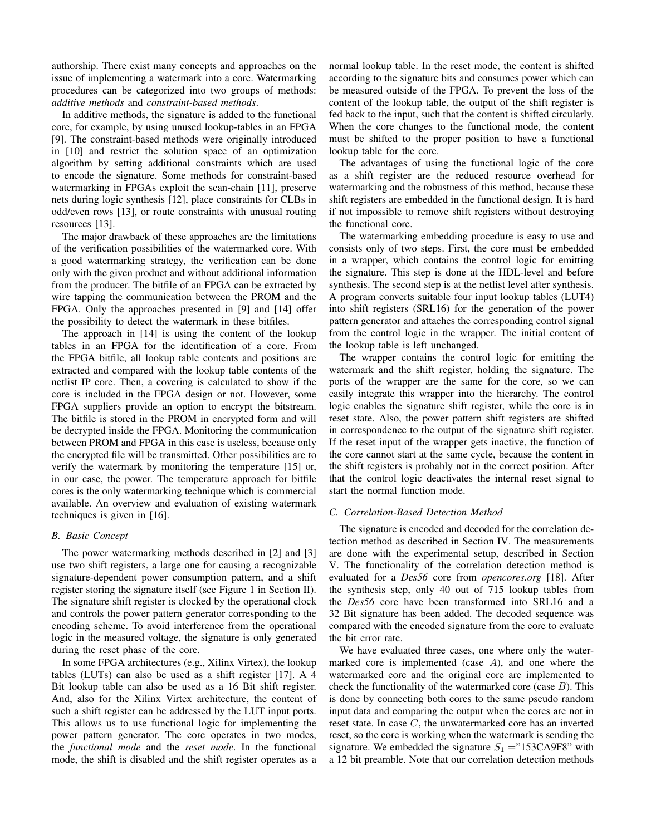authorship. There exist many concepts and approaches on the issue of implementing a watermark into a core. Watermarking procedures can be categorized into two groups of methods: *additive methods* and *constraint-based methods*.

In additive methods, the signature is added to the functional core, for example, by using unused lookup-tables in an FPGA [9]. The constraint-based methods were originally introduced in [10] and restrict the solution space of an optimization algorithm by setting additional constraints which are used to encode the signature. Some methods for constraint-based watermarking in FPGAs exploit the scan-chain [11], preserve nets during logic synthesis [12], place constraints for CLBs in odd/even rows [13], or route constraints with unusual routing resources [13].

The major drawback of these approaches are the limitations of the verification possibilities of the watermarked core. With a good watermarking strategy, the verification can be done only with the given product and without additional information from the producer. The bitfile of an FPGA can be extracted by wire tapping the communication between the PROM and the FPGA. Only the approaches presented in [9] and [14] offer the possibility to detect the watermark in these bitfiles.

The approach in [14] is using the content of the lookup tables in an FPGA for the identification of a core. From the FPGA bitfile, all lookup table contents and positions are extracted and compared with the lookup table contents of the netlist IP core. Then, a covering is calculated to show if the core is included in the FPGA design or not. However, some FPGA suppliers provide an option to encrypt the bitstream. The bitfile is stored in the PROM in encrypted form and will be decrypted inside the FPGA. Monitoring the communication between PROM and FPGA in this case is useless, because only the encrypted file will be transmitted. Other possibilities are to verify the watermark by monitoring the temperature [15] or, in our case, the power. The temperature approach for bitfile cores is the only watermarking technique which is commercial available. An overview and evaluation of existing watermark techniques is given in [16].

## *B. Basic Concept*

The power watermarking methods described in [2] and [3] use two shift registers, a large one for causing a recognizable signature-dependent power consumption pattern, and a shift register storing the signature itself (see Figure 1 in Section II). The signature shift register is clocked by the operational clock and controls the power pattern generator corresponding to the encoding scheme. To avoid interference from the operational logic in the measured voltage, the signature is only generated during the reset phase of the core.

In some FPGA architectures (e.g., Xilinx Virtex), the lookup tables (LUTs) can also be used as a shift register [17]. A 4 Bit lookup table can also be used as a 16 Bit shift register. And, also for the Xilinx Virtex architecture, the content of such a shift register can be addressed by the LUT input ports. This allows us to use functional logic for implementing the power pattern generator. The core operates in two modes, the *functional mode* and the *reset mode*. In the functional mode, the shift is disabled and the shift register operates as a normal lookup table. In the reset mode, the content is shifted according to the signature bits and consumes power which can be measured outside of the FPGA. To prevent the loss of the content of the lookup table, the output of the shift register is fed back to the input, such that the content is shifted circularly. When the core changes to the functional mode, the content must be shifted to the proper position to have a functional lookup table for the core.

The advantages of using the functional logic of the core as a shift register are the reduced resource overhead for watermarking and the robustness of this method, because these shift registers are embedded in the functional design. It is hard if not impossible to remove shift registers without destroying the functional core.

The watermarking embedding procedure is easy to use and consists only of two steps. First, the core must be embedded in a wrapper, which contains the control logic for emitting the signature. This step is done at the HDL-level and before synthesis. The second step is at the netlist level after synthesis. A program converts suitable four input lookup tables (LUT4) into shift registers (SRL16) for the generation of the power pattern generator and attaches the corresponding control signal from the control logic in the wrapper. The initial content of the lookup table is left unchanged.

The wrapper contains the control logic for emitting the watermark and the shift register, holding the signature. The ports of the wrapper are the same for the core, so we can easily integrate this wrapper into the hierarchy. The control logic enables the signature shift register, while the core is in reset state. Also, the power pattern shift registers are shifted in correspondence to the output of the signature shift register. If the reset input of the wrapper gets inactive, the function of the core cannot start at the same cycle, because the content in the shift registers is probably not in the correct position. After that the control logic deactivates the internal reset signal to start the normal function mode.

#### *C. Correlation-Based Detection Method*

The signature is encoded and decoded for the correlation detection method as described in Section IV. The measurements are done with the experimental setup, described in Section V. The functionality of the correlation detection method is evaluated for a *Des56* core from *opencores.org* [18]. After the synthesis step, only 40 out of 715 lookup tables from the *Des56* core have been transformed into SRL16 and a 32 Bit signature has been added. The decoded sequence was compared with the encoded signature from the core to evaluate the bit error rate.

We have evaluated three cases, one where only the watermarked core is implemented (case A), and one where the watermarked core and the original core are implemented to check the functionality of the watermarked core (case  $B$ ). This is done by connecting both cores to the same pseudo random input data and comparing the output when the cores are not in reset state. In case C, the unwatermarked core has an inverted reset, so the core is working when the watermark is sending the signature. We embedded the signature  $S_1 = 153C_A9F8$ " with a 12 bit preamble. Note that our correlation detection methods